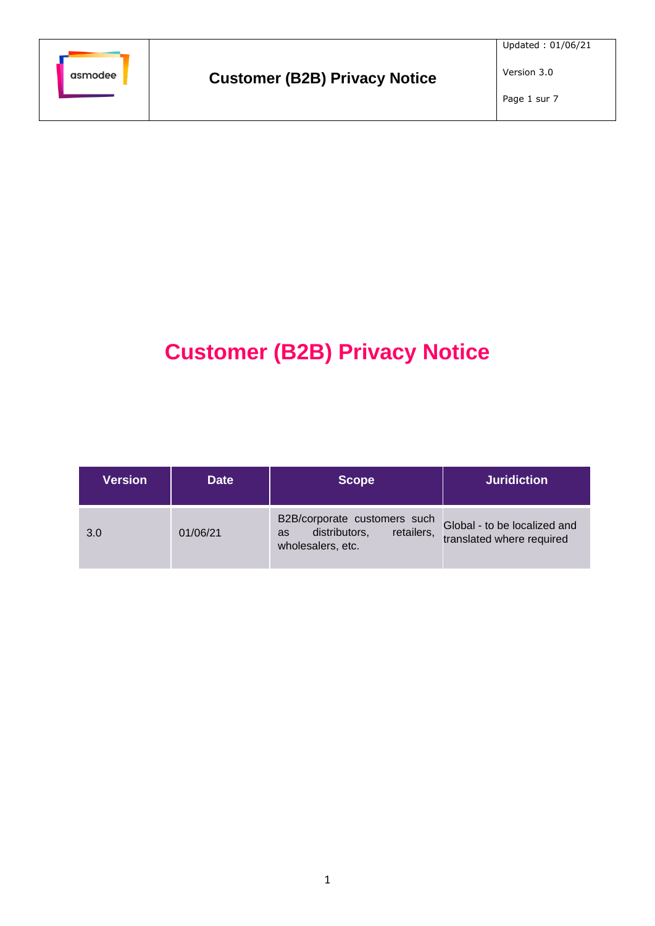

Version 3.0

# **Customer (B2B) Privacy Notice**

| <b>Version</b> | <b>Date</b> | <b>Scope</b>                                                                                  | <b>Juridiction</b>                                        |
|----------------|-------------|-----------------------------------------------------------------------------------------------|-----------------------------------------------------------|
| 3.0            | 01/06/21    | B2B/corporate customers such<br>distributors,<br>retailers,<br><b>as</b><br>wholesalers, etc. | Global - to be localized and<br>translated where required |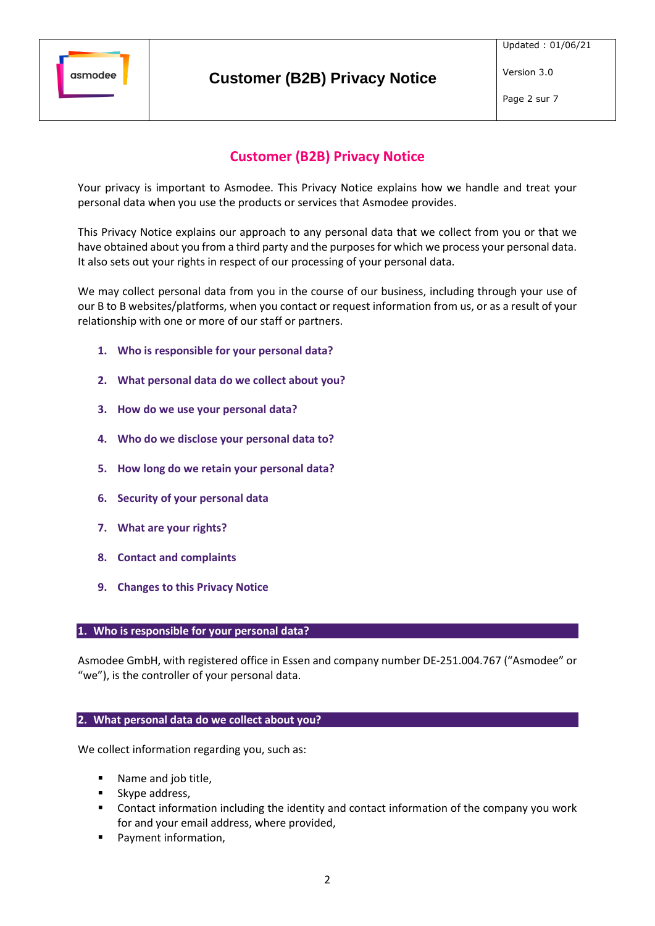

Page 2 sur 7

Version 3.0

# **Customer (B2B) Privacy Notice**

Your privacy is important to Asmodee. This Privacy Notice explains how we handle and treat your personal data when you use the products or services that Asmodee provides.

This Privacy Notice explains our approach to any personal data that we collect from you or that we have obtained about you from a third party and the purposes for which we process your personal data. It also sets out your rights in respect of our processing of your personal data.

We may collect personal data from you in the course of our business, including through your use of our B to B websites/platforms, when you contact or request information from us, or as a result of your relationship with one or more of our staff or partners.

- **1. Who is responsible for your personal data?**
- **2. What personal data do we collect about you?**
- <span id="page-1-0"></span>**3. How do we use your personal data?**
- **4. Who do we disclose your personal data to?**
- **5. How long do we retain your personal data?**
- **6. Security of your personal data**
- **7. What are your rights?**
- **8. Contact and complaints**
- **9. Changes to this Privacy Notice**

#### **1. Who is responsible for your personal data?**

Asmodee GmbH, with registered office in Essen and company number DE-251.004.767 ("Asmodee" or "we"), is the controller of your personal data.

### **2. What personal data do we collect about you?**

We collect information regarding you, such as:

- Name and job title,
- Skype address,
- Contact information including the identity and contact information of the company you work for and your email address, where provided,
- Payment information,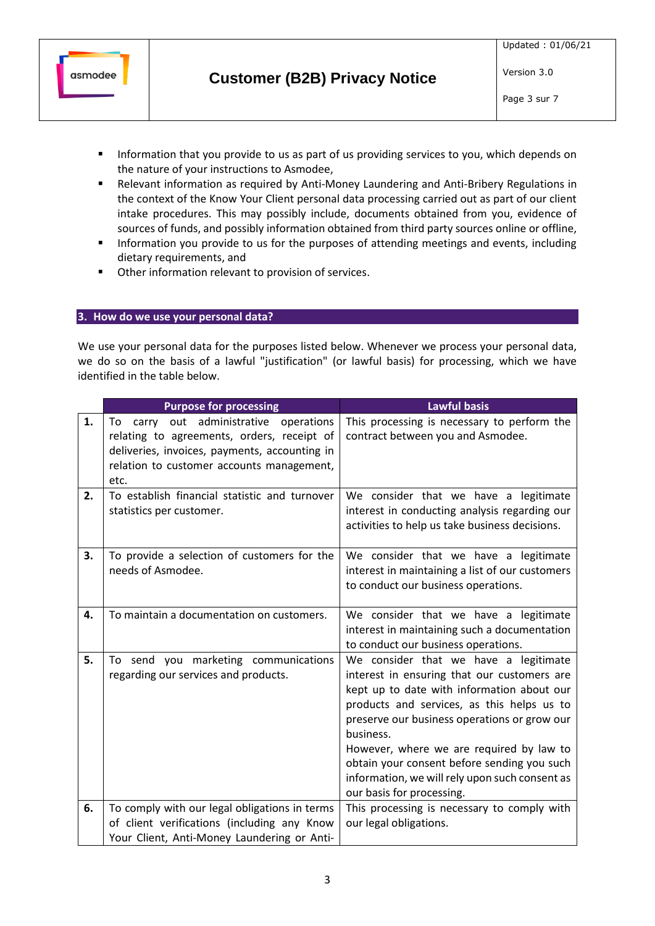

Page 3 sur 7

- **E** Information that you provide to us as part of us providing services to you, which depends on the nature of your instructions to Asmodee,
- Relevant information as required by Anti-Money Laundering and Anti-Bribery Regulations in the context of the Know Your Client personal data processing carried out as part of our client intake procedures. This may possibly include, documents obtained from you, evidence of sources of funds, and possibly information obtained from third party sources online or offline,
- **■** Information you provide to us for the purposes of attending meetings and events, including dietary requirements, and
- Other information relevant to provision of services.

## **3. How do we use your personal data?**

We use your personal data for the purposes listed below. Whenever we process your personal data, we do so on the basis of a lawful "justification" (or lawful basis) for processing, which we have identified in the table below.

|    | <b>Purpose for processing</b>                                                                                                                                                                    | <b>Lawful basis</b>                                                                                                                                                                                                                                                                                                                                                                                                     |
|----|--------------------------------------------------------------------------------------------------------------------------------------------------------------------------------------------------|-------------------------------------------------------------------------------------------------------------------------------------------------------------------------------------------------------------------------------------------------------------------------------------------------------------------------------------------------------------------------------------------------------------------------|
| 1. | out administrative<br>To carry<br>operations<br>relating to agreements, orders, receipt of<br>deliveries, invoices, payments, accounting in<br>relation to customer accounts management,<br>etc. | This processing is necessary to perform the<br>contract between you and Asmodee.                                                                                                                                                                                                                                                                                                                                        |
| 2. | To establish financial statistic and turnover<br>statistics per customer.                                                                                                                        | We consider that we have a legitimate<br>interest in conducting analysis regarding our<br>activities to help us take business decisions.                                                                                                                                                                                                                                                                                |
| 3. | To provide a selection of customers for the<br>needs of Asmodee.                                                                                                                                 | We consider that we have a legitimate<br>interest in maintaining a list of our customers<br>to conduct our business operations.                                                                                                                                                                                                                                                                                         |
| 4. | To maintain a documentation on customers.                                                                                                                                                        | We consider that we have a legitimate<br>interest in maintaining such a documentation<br>to conduct our business operations.                                                                                                                                                                                                                                                                                            |
| 5. | To send you marketing communications<br>regarding our services and products.                                                                                                                     | We consider that we have a legitimate<br>interest in ensuring that our customers are<br>kept up to date with information about our<br>products and services, as this helps us to<br>preserve our business operations or grow our<br>business.<br>However, where we are required by law to<br>obtain your consent before sending you such<br>information, we will rely upon such consent as<br>our basis for processing. |
| 6. | To comply with our legal obligations in terms                                                                                                                                                    | This processing is necessary to comply with                                                                                                                                                                                                                                                                                                                                                                             |
|    | of client verifications (including any Know                                                                                                                                                      | our legal obligations.                                                                                                                                                                                                                                                                                                                                                                                                  |
|    | Your Client, Anti-Money Laundering or Anti-                                                                                                                                                      |                                                                                                                                                                                                                                                                                                                                                                                                                         |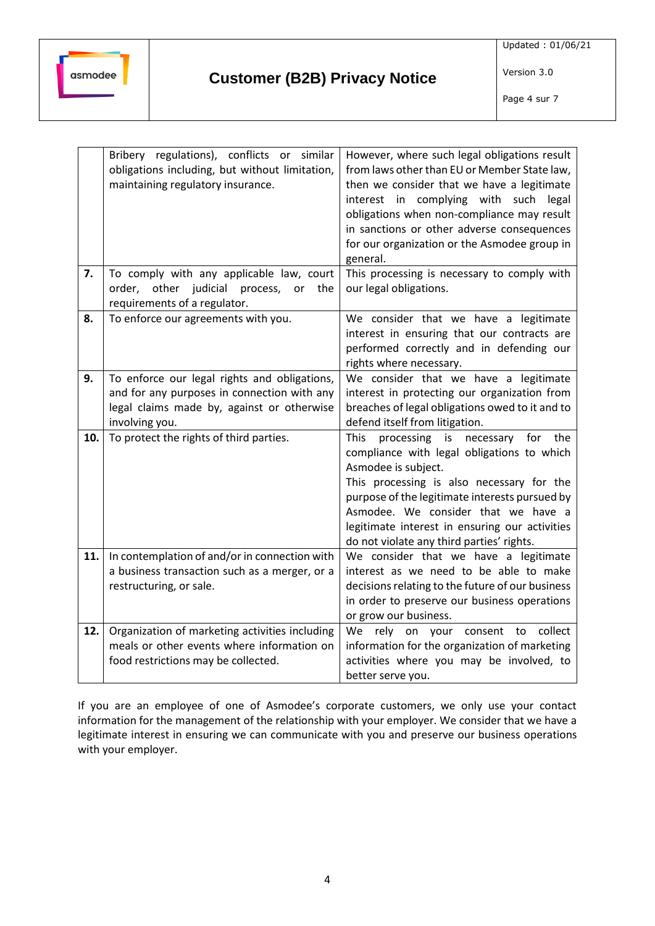

Version 3.0 Page 4 sur 7

|     | Bribery regulations), conflicts or similar<br>obligations including, but without limitation,<br>maintaining regulatory insurance.                           | However, where such legal obligations result<br>from laws other than EU or Member State law,<br>then we consider that we have a legitimate<br>interest in complying with such<br>legal<br>obligations when non-compliance may result<br>in sanctions or other adverse consequences<br>for our organization or the Asmodee group in<br>general.                       |
|-----|-------------------------------------------------------------------------------------------------------------------------------------------------------------|----------------------------------------------------------------------------------------------------------------------------------------------------------------------------------------------------------------------------------------------------------------------------------------------------------------------------------------------------------------------|
| 7.  | To comply with any applicable law, court<br>order, other judicial<br>process,<br>the<br>or<br>requirements of a regulator.                                  | This processing is necessary to comply with<br>our legal obligations.                                                                                                                                                                                                                                                                                                |
| 8.  | To enforce our agreements with you.                                                                                                                         | We consider that we have a legitimate<br>interest in ensuring that our contracts are<br>performed correctly and in defending our<br>rights where necessary.                                                                                                                                                                                                          |
| 9.  | To enforce our legal rights and obligations,<br>and for any purposes in connection with any<br>legal claims made by, against or otherwise<br>involving you. | We consider that we have a legitimate<br>interest in protecting our organization from<br>breaches of legal obligations owed to it and to<br>defend itself from litigation.                                                                                                                                                                                           |
| 10. | To protect the rights of third parties.                                                                                                                     | <b>This</b><br>processing<br>necessary<br>for<br>the<br>is<br>compliance with legal obligations to which<br>Asmodee is subject.<br>This processing is also necessary for the<br>purpose of the legitimate interests pursued by<br>Asmodee. We consider that we have a<br>legitimate interest in ensuring our activities<br>do not violate any third parties' rights. |
| 11. | In contemplation of and/or in connection with<br>a business transaction such as a merger, or a<br>restructuring, or sale.                                   | We consider that we have a legitimate<br>interest as we need to be able to make<br>decisions relating to the future of our business<br>in order to preserve our business operations<br>or grow our business.                                                                                                                                                         |
| 12. | Organization of marketing activities including<br>meals or other events where information on<br>food restrictions may be collected.                         | We<br>rely on your consent to collect<br>information for the organization of marketing<br>activities where you may be involved, to<br>better serve you.                                                                                                                                                                                                              |

If you are an employee of one of Asmodee's corporate customers, we only use your contact information for the management of the relationship with your employer. We consider that we have a legitimate interest in ensuring we can communicate with you and preserve our business operations with your employer.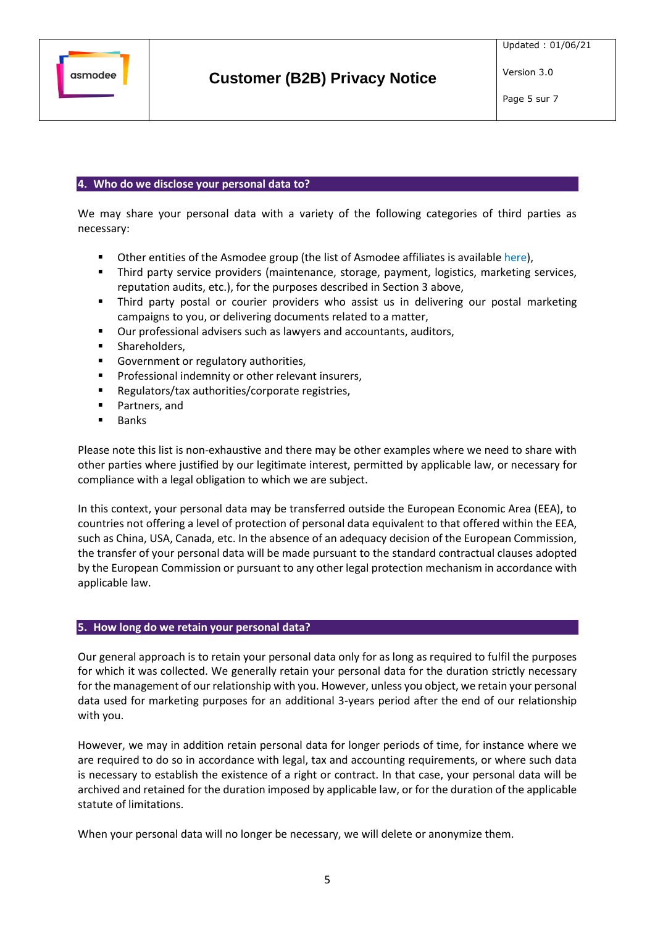

Version 3.0

#### **4. Who do we disclose your personal data to?**

We may share your personal data with a variety of the following categories of third parties as necessary:

- Other entities of the Asmodee group (the list of Asmodee affiliates is availabl[e here\)](https://cdn.svc.asmodee.net/corporate/uploads/Templates/Asmodee_group_companies_EN.pdf),
- **EXP** Third party service providers (maintenance, storage, payment, logistics, marketing services, reputation audits, etc.), for the purposes described in Sectio[n 3](#page-1-0) above,
- Third party postal or courier providers who assist us in delivering our postal marketing campaigns to you, or delivering documents related to a matter,
- Our professional advisers such as lawyers and accountants, auditors,
- **■** Shareholders,
- Government or regulatory authorities,
- Professional indemnity or other relevant insurers,
- Regulators/tax authorities/corporate registries,
- Partners, and
- Banks

Please note this list is non-exhaustive and there may be other examples where we need to share with other parties where justified by our legitimate interest, permitted by applicable law, or necessary for compliance with a legal obligation to which we are subject.

In this context, your personal data may be transferred outside the European Economic Area (EEA), to countries not offering a level of protection of personal data equivalent to that offered within the EEA, such as China, USA, Canada, etc. In the absence of an adequacy decision of the European Commission, the transfer of your personal data will be made pursuant to the standard contractual clauses adopted by the European Commission or pursuant to any other legal protection mechanism in accordance with applicable law.

#### **5. How long do we retain your personal data?**

Our general approach is to retain your personal data only for as long as required to fulfil the purposes for which it was collected. We generally retain your personal data for the duration strictly necessary for the management of our relationship with you. However, unless you object, we retain your personal data used for marketing purposes for an additional 3-years period after the end of our relationship with you.

However, we may in addition retain personal data for longer periods of time, for instance where we are required to do so in accordance with legal, tax and accounting requirements, or where such data is necessary to establish the existence of a right or contract. In that case, your personal data will be archived and retained for the duration imposed by applicable law, or for the duration of the applicable statute of limitations.

When your personal data will no longer be necessary, we will delete or anonymize them.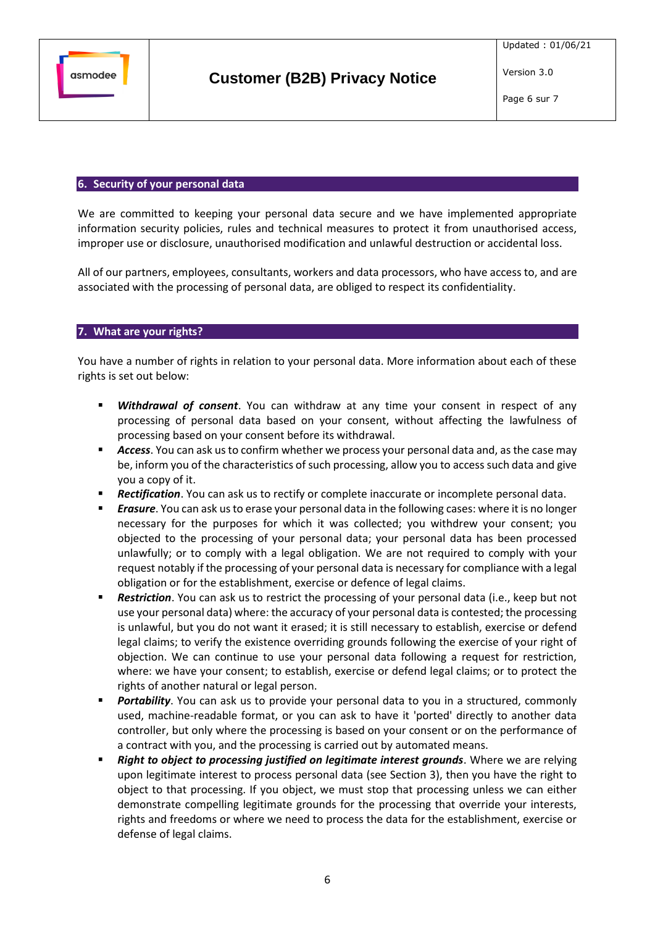

#### **6. Security of your personal data**

We are committed to keeping your personal data secure and we have implemented appropriate information security policies, rules and technical measures to protect it from unauthorised access, improper use or disclosure, unauthorised modification and unlawful destruction or accidental loss.

All of our partners, employees, consultants, workers and data processors, who have access to, and are associated with the processing of personal data, are obliged to respect its confidentiality.

#### **7. What are your rights?**

You have a number of rights in relation to your personal data. More information about each of these rights is set out below:

- **E** *Withdrawal of consent*. You can withdraw at any time your consent in respect of any processing of personal data based on your consent, without affecting the lawfulness of processing based on your consent before its withdrawal.
- Access. You can ask us to confirm whether we process your personal data and, as the case may be, inform you of the characteristics of such processing, allow you to access such data and give you a copy of it.
- **Rectification**. You can ask us to rectify or complete inaccurate or incomplete personal data.
- **Erasure**. You can ask us to erase your personal data in the following cases: where it is no longer necessary for the purposes for which it was collected; you withdrew your consent; you objected to the processing of your personal data; your personal data has been processed unlawfully; or to comply with a legal obligation. We are not required to comply with your request notably if the processing of your personal data is necessary for compliance with a legal obligation or for the establishment, exercise or defence of legal claims.
- **Restriction**. You can ask us to restrict the processing of your personal data (i.e., keep but not use your personal data) where: the accuracy of your personal data is contested; the processing is unlawful, but you do not want it erased; it is still necessary to establish, exercise or defend legal claims; to verify the existence overriding grounds following the exercise of your right of objection. We can continue to use your personal data following a request for restriction, where: we have your consent; to establish, exercise or defend legal claims; or to protect the rights of another natural or legal person.
- **Portability**. You can ask us to provide your personal data to you in a structured, commonly used, machine-readable format, or you can ask to have it 'ported' directly to another data controller, but only where the processing is based on your consent or on the performance of a contract with you, and the processing is carried out by automated means.
- **Right to object to processing justified on legitimate interest grounds**. Where we are relying upon legitimate interest to process personal data (see Section [3\)](#page-1-0), then you have the right to object to that processing. If you object, we must stop that processing unless we can either demonstrate compelling legitimate grounds for the processing that override your interests, rights and freedoms or where we need to process the data for the establishment, exercise or defense of legal claims.